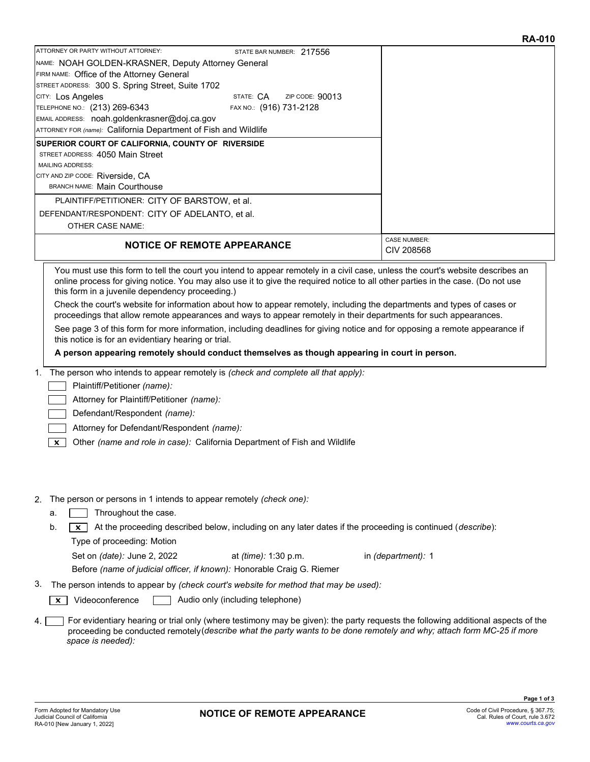|                                                                 |                           | 178791 V                          |
|-----------------------------------------------------------------|---------------------------|-----------------------------------|
| ATTORNEY OR PARTY WITHOUT ATTORNEY:                             | STATE BAR NUMBER: 217556  |                                   |
| NAME: NOAH GOLDEN-KRASNER, Deputy Attorney General              |                           |                                   |
| FIRM NAME: Office of the Attorney General                       |                           |                                   |
| STREET ADDRESS: 300 S. Spring Street, Suite 1702                |                           |                                   |
| CITY: Los Angeles                                               | STATE: CA ZIP CODE: 90013 |                                   |
| TELEPHONE NO.: (213) 269-6343                                   | FAX NO.: (916) 731-2128   |                                   |
| EMAIL ADDRESS: noah.goldenkrasner@doj.ca.gov                    |                           |                                   |
| ATTORNEY FOR (name): California Department of Fish and Wildlife |                           |                                   |
| SUPERIOR COURT OF CALIFORNIA, COUNTY OF RIVERSIDE               |                           |                                   |
| STREET ADDRESS: 4050 Main Street                                |                           |                                   |
| <b>MAILING ADDRESS:</b>                                         |                           |                                   |
| CITY AND ZIP CODE: Riverside, CA                                |                           |                                   |
| <b>BRANCH NAME: Main Courthouse</b>                             |                           |                                   |
| PLAINTIFF/PETITIONER: CITY OF BARSTOW, et al.                   |                           |                                   |
| DEFENDANT/RESPONDENT: CITY OF ADELANTO, et al.                  |                           |                                   |
| <b>OTHER CASE NAME:</b>                                         |                           |                                   |
| <b>NOTICE OF REMOTE APPEARANCE</b>                              |                           | <b>CASE NUMBER:</b><br>CIV 208568 |
|                                                                 |                           |                                   |

You must use this form to tell the court you intend to appear remotely in a civil case, unless the court's website describes an online process for giving notice. You may also use it to give the required notice to all other parties in the case. (Do not use this form in a juvenile dependency proceeding.)

Check the court's website for information about how to appear remotely, including the departments and types of cases or proceedings that allow remote appearances and ways to appear remotely in their departments for such appearances.

See page 3 of this form for more information, including deadlines for giving notice and for opposing a remote appearance if this notice is for an evidentiary hearing or trial.

A person appearing remotely should conduct themselves as though appearing in court in person.

1. The person who intends to appear remotely is (check and complete all that apply):

Plaintiff/Petitioner (name): D

D

Attorney for Plaintiff/Petitioner (name):

Defendant/Respondent (name): D

Attorney for Defendant/Respondent (name): D

 $\boxed{\mathbf{x}}$  Other (name and role in case): California Department of Fish and Wildlife

### 2. The person or persons in 1 intends to appear remotely (check one):

- $a. \Box$  Throughout the case. D
- b.  $\boxed{x}$  At the proceeding described below, including on any later dates if the proceeding is continued (*describe*): Type of proceeding: Motion

Set on (date): June 2, 2022 at (time): 1:30 p.m. in (department): 1 Before (name of judicial officer, if known): Honorable Craig G. Riemer at (time): 1:30 p.m.

3. The person intends to appear by (check court's website for method that may be used):

Videoconference **Dual Audio only (including telephone)**  $\sqrt{\mathbf{x}}$  Videoconference

For evidentiary hearing or trial only (where testimony may be given): the party requests the following additional aspects of the proceeding be conducted remotely (describe what the party wants to be done remotely and why; attach form MC-25 if more space is needed):  $4.1$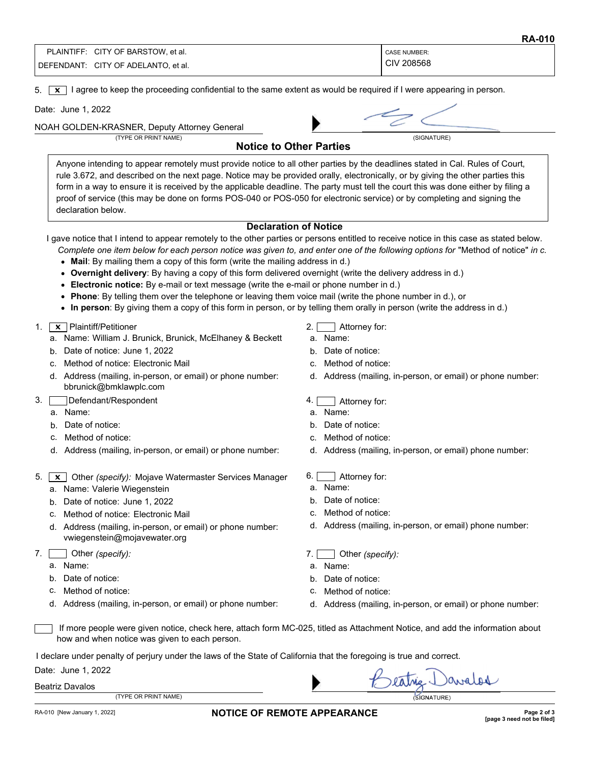| PLAINTIFF: | CITY OF BARSTOW, et al.  | CASE NUMBER: |
|------------|--------------------------|--------------|
| DEFENDANT: | CITY OF ADELANTO, et al. | CIV 208568   |

5.  $\boxed{\mathbf{x}}$  I agree to keep the proceeding confidential to the same extent as would be required if I were appearing in person.

Date: June 1, 2022

NOAH GOLDEN-KRASNER, Deputy Attorney General



Notice to Other Parties

Anyone intending to appear remotely must provide notice to all other parties by the deadlines stated in Cal. Rules of Court, rule 3.672, and described on the next page. Notice may be provided orally, electronically, or by giving the other parties this form in a way to ensure it is received by the applicable deadline. The party must tell the court this was done either by filing a proof of service (this may be done on forms POS-040 or POS-050 for electronic service) or by completing and signing the declaration below.

### Declaration of Notice

I gave notice that I intend to appear remotely to the other parties or persons entitled to receive notice in this case as stated below.

- Complete one item below for each person notice was given to, and enter one of the following options for "Method of notice" in c.
- Mail: By mailing them a copy of this form (write the mailing address in d.)
- Overnight delivery: By having a copy of this form delivered overnight (write the delivery address in d.)
- Electronic notice: By e-mail or text message (write the e-mail or phone number in d.)
- Phone: By telling them over the telephone or leaving them voice mail (write the phone number in d.), or
- In person: By giving them a copy of this form in person, or by telling them orally in person (write the address in d.)

### 1. | X | Plaintiff/Petitioner

- a. Name: William J. Brunick, Brunick, McElhaney & Beckett
- b. Date of notice: June 1, 2022
- c. Method of notice: Electronic Mail
- d. Address (mailing, in-person, or email) or phone number: bbrunick@bmklawplc.com
- 3. Defendant/Respondent D
	- a. Name:
	- b. Date of notice:
	- c. Method of notice:
	- d. Address (mailing, in-person, or email) or phone number:
- 5.  $\boxed{\mathbf{x}}$  Other (specify): Mojave Watermaster Services Manager a. Name: Valerie Wiegenstein
	- b. Date of notice: June 1, 2022
	- c. Method of notice: Electronic Mail
	- d. Address (mailing, in-person, or email) or phone number: vwiegenstein@mojavewater.org
- 7. Other (specify):
	- a. Name:
	- b. Date of notice:
	- c. Method of notice:
	- d. Address (mailing, in-person, or email) or phone number:

# 2. 1 Attorney for:

- a. Name:
- b. Date of notice:
- c. Method of notice:
- d. Address (mailing, in-person, or email) or phone number:
- 4. **4** Attorney for:
- a. Name:
- b. Date of notice:
- c. Method of notice:
- d. Address (mailing, in-person, or email) phone number:

## 6. **Attorney for:**

- a. Name:
- b. Date of notice:
- c. Method of notice:
- d. Address (mailing, in-person, or email) phone number:

# 7. Other (specify):

- a. Name:
- b. Date of notice:
- c. Method of notice:
- d. Address (mailing, in-person, or email) or phone number:

avalor

 If more people were given notice, check here, attach form MC-025, titled as Attachment Notice, and add the information about how and when notice was given to each person. D

I declare under penalty of perjury under the laws of the State of California that the foregoing is true and correct.

| <b>Beatriz Davalos</b> |  |
|------------------------|--|
|------------------------|--|

| PRIN <sup>-</sup><br>NAME <sup>®</sup><br>OR<br><b>TVDE</b><br>- |  | URE<br>'SIGNA' |
|------------------------------------------------------------------|--|----------------|
|                                                                  |  |                |

### RA-010 [New January 1, 2022] **NOTICE OF REMOTE APPEARANCE Page 2 of 3 Page 2 of 3**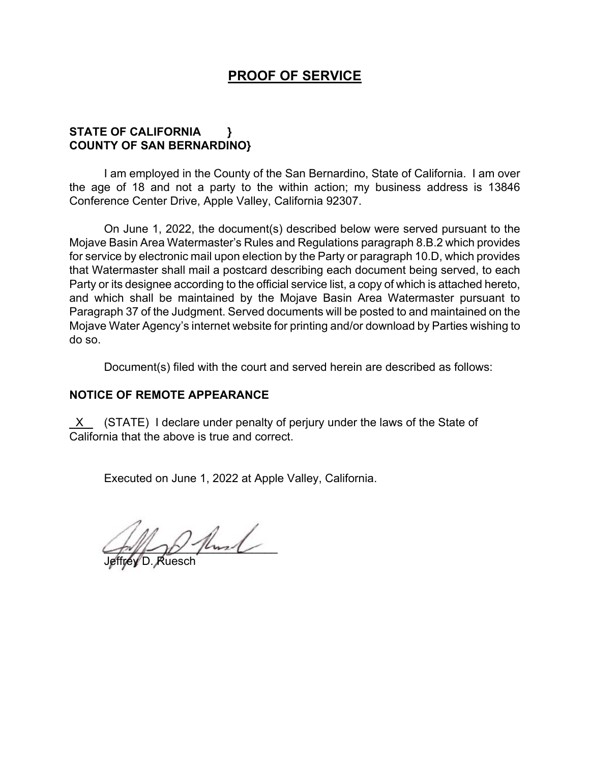# **PROOF OF SERVICE**

## **STATE OF CALIFORNIA } COUNTY OF SAN BERNARDINO}**

I am employed in the County of the San Bernardino, State of California. I am over the age of 18 and not a party to the within action; my business address is 13846 Conference Center Drive, Apple Valley, California 92307.

On June 1, 2022, the document(s) described below were served pursuant to the Mojave Basin Area Watermaster's Rules and Regulations paragraph 8.B.2 which provides for service by electronic mail upon election by the Party or paragraph 10.D, which provides that Watermaster shall mail a postcard describing each document being served, to each Party or its designee according to the official service list, a copy of which is attached hereto, and which shall be maintained by the Mojave Basin Area Watermaster pursuant to Paragraph 37 of the Judgment. Served documents will be posted to and maintained on the Mojave Water Agency's internet website for printing and/or download by Parties wishing to do so.

Document(s) filed with the court and served herein are described as follows:

### **NOTICE OF REMOTE APPEARANCE**

 X (STATE) I declare under penalty of perjury under the laws of the State of California that the above is true and correct.

Executed on June 1, 2022 at Apple Valley, California.

 $\left(\frac{1}{2}x\right)^{1/2}$ 

Jeffrey D. Ruesch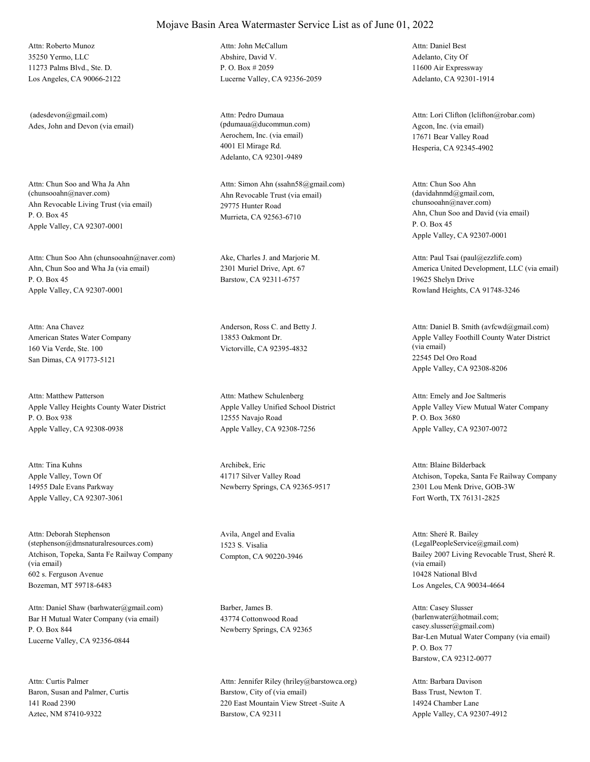35250 Yermo, LLC 11273 Palms Blvd., Ste. D. Los Angeles, CA 90066-2122 Attn: Roberto Munoz

Ades, John and Devon (via email) (adesdevon@gmail.com)

Ahn Revocable Living Trust (via email) P. O. Box 45 Apple Valley, CA 92307-0001 Attn: Chun Soo and Wha Ja Ahn<br>(chunsooahn@naver.com)

Ahn, Chun Soo and Wha Ja (via email) P. O. Box 45 Apple Valley, CA 92307-0001 Attn: Chun Soo Ahn (chunsooahn@naver.com) Ake, Charles J. and Marjorie M.

American States Water Company 160 Via Verde, Ste. 100 San Dimas, CA 91773-5121 Attn: Ana Chavez Anderson, Ross C. and Betty J.

Apple Valley Heights County Water District P. O. Box 938 Apple Valley, CA 92308-0938 Attn: Matthew Patterson

Apple Valley, Town Of 14955 Dale Evans Parkway Apple Valley, CA 92307-3061 Attn: Tina Kuhns Archibek, Eric

Atchison, Topeka, Santa Fe Railway Company (via email) 602 s. Ferguson Avenue Bozeman, MT 59718-6483 Attn: Deborah Stephenson (stephenson@dmsnaturalresources.com)

Bar H Mutual Water Company (via email) P. O. Box 844 Lucerne Valley, CA 92356-0844 Attn: Daniel Shaw (barhwater@gmail.com) Barber, James B.

Baron, Susan and Palmer, Curtis 141 Road 2390 Aztec, NM 87410-9322 Attn: Curtis Palmer

Abshire, David V. P. O. Box # 2059 Lucerne Valley, CA 92356-2059 Attn: John McCallum

Aerochem, Inc. (via email) 4001 El Mirage Rd. Adelanto, CA 92301-9489 Attn: Pedro Dumaua (pdumaua@ducommun.com) Agcon, Inc. (via email)

Ahn Revocable Trust (via email) 29775 Hunter Road Murrieta, CA 92563-6710 Attn: Simon Ahn (ssahn58@gmail.com)

2301 Muriel Drive, Apt. 67 Barstow, CA 92311-6757

13853 Oakmont Dr. Victorville, CA 92395-4832

Apple Valley Unified School District 12555 Navajo Road Apple Valley, CA 92308-7256 Attn: Mathew Schulenberg

41717 Silver Valley Road Newberry Springs, CA 92365-9517

Avila, Angel and Evalia 1523 S. Visalia

43774 Cottonwood Road Newberry Springs, CA 92365

Barstow, City of (via email) 220 East Mountain View Street -Suite A Barstow, CA 92311 Attn: Jennifer Riley (hriley@barstowca.org) Adelanto, City Of 11600 Air Expressway Adelanto, CA 92301-1914 Attn: Daniel Best

17671 Bear Valley Road Hesperia, CA 92345-4902 Attn: Lori Clifton (lclifton@robar.com)

Ahn, Chun Soo and David (via email) P. O. Box 45 Apple Valley, CA 92307-0001 Attn: Chun Soo Ahn  $(davidahnmd@gmail.com)$ chunsooahn@naver.com)

America United Development, LLC (via email) 19625 Shelyn Drive Rowland Heights, CA 91748-3246 Attn: Paul Tsai (paul@ezzlife.com)

Apple Valley Foothill County Water District (via email) 22545 Del Oro Road Apple Valley, CA 92308-8206 Attn: Daniel B. Smith (avfcwd@gmail.com)

Apple Valley View Mutual Water Company P. O. Box 3680 Apple Valley, CA 92307-0072 Attn: Emely and Joe Saltmeris

Atchison, Topeka, Santa Fe Railway Company 2301 Lou Menk Drive, GOB-3W Fort Worth, TX 76131-2825 Attn: Blaine Bilderback

Compton, CA 90220-3946 Bailey 2007 Living Revocable Trust, Sheré R. (via email) 10428 National Blvd Los Angeles, CA 90034-4664 Attn: Sheré R. Bailey (LegalPeopleService@gmail.com)

> Bar-Len Mutual Water Company (via email) P. O. Box 77 Barstow, CA 92312-0077 Attn: Casey Slusser (barlenwater@hotmail.com; casey.slusser@gmail.com)

Bass Trust, Newton T. 14924 Chamber Lane Apple Valley, CA 92307-4912 Attn: Barbara Davison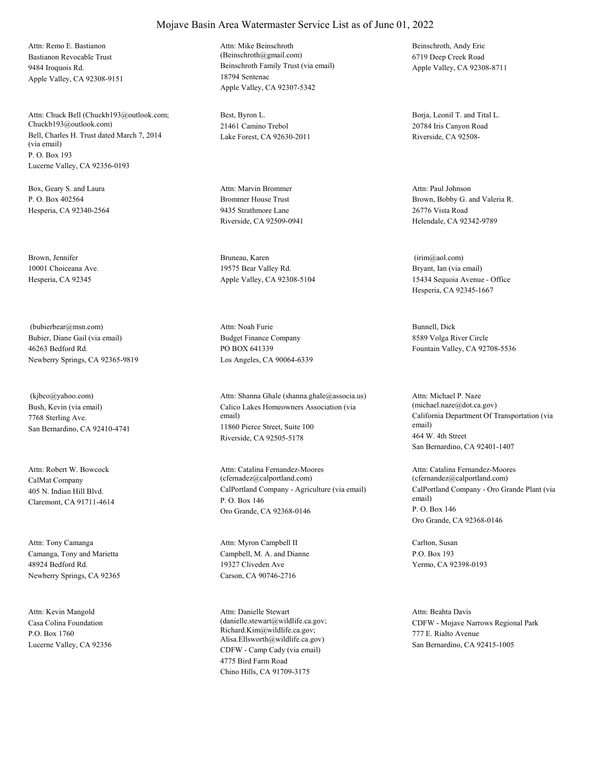Bastianon Revocable Trust 9484 Iroquois Rd. Apple Valley, CA 92308-9151 Attn: Remo E. Bastianon

Bell, Charles H. Trust dated March 7, 2014 (via email) P. O. Box 193 Lucerne Valley, CA 92356-0193 Attn: Chuck Bell (Chuckb193@outlook.com; Chuckb193@outlook.com)

Box, Geary S. and Laura P. O. Box 402564 Hesperia, CA 92340-2564

Brown, Jennifer 10001 Choiceana Ave. Hesperia, CA 92345

Bubier, Diane Gail (via email) 46263 Bedford Rd. Newberry Springs, CA 92365-9819 (bubierbear@msn.com)

Bush, Kevin (via email) 7768 Sterling Ave. San Bernardino, CA 92410-4741 (kjbco@yahoo.com)

CalMat Company 405 N. Indian Hill Blvd. Claremont, CA 91711-4614 Attn: Robert W. Bowcock

Camanga, Tony and Marietta 48924 Bedford Rd. Newberry Springs, CA 92365 Attn: Tony Camanga

Casa Colina Foundation P.O. Box 1760 Lucerne Valley, CA 92356 Attn: Kevin Mangold

Beinschroth Family Trust (via email) 18794 Sentenac Apple Valley, CA 92307-5342 Attn: Mike Beinschroth (Beinschroth@gmail.com)

Best, Byron L. 21461 Camino Trebol Lake Forest, CA 92630-2011

Brommer House Trust 9435 Strathmore Lane Riverside, CA 92509-0941 Attn: Marvin Brommer

Bruneau, Karen 19575 Bear Valley Rd. Apple Valley, CA 92308-5104

Budget Finance Company PO BOX 641339 Los Angeles, CA 90064-6339 Attn: Noah Furie Bunnell, Dick

Calico Lakes Homeowners Association (via email) 11860 Pierce Street, Suite 100 Riverside, CA 92505-5178 Attn: Shanna Ghale (shanna.ghale@associa.us)

CalPortland Company - Agriculture (via email) P. O. Box 146 Oro Grande, CA 92368-0146 Attn: Catalina Fernandez-Moores (cfernadez@calportland.com)

Campbell, M. A. and Dianne 19327 Cliveden Ave Carson, CA 90746-2716 Attn: Myron Campbell II Carlton, Susan

CDFW - Camp Cady (via email) 4775 Bird Farm Road Chino Hills, CA 91709-3175 Attn: Danielle Stewart (danielle.stewart@wildlife.ca.gov; Richard.Kim@wildlife.ca.gov; Alisa.Ellsworth@wildlife.ca.gov)

Beinschroth, Andy Eric 6719 Deep Creek Road Apple Valley, CA 92308-8711

Borja, Leonil T. and Tital L. 20784 Iris Canyon Road Riverside, CA 92508-

Brown, Bobby G. and Valeria R. 26776 Vista Road Helendale, CA 92342-9789 Attn: Paul Johnson

Bryant, Ian (via email) 15434 Sequoia Avenue - Office Hesperia, CA 92345-1667 (irim@aol.com)

8589 Volga River Circle Fountain Valley, CA 92708-5536

California Department Of Transportation (via email) 464 W. 4th Street San Bernardino, CA 92401-1407 Attn: Michael P. Naze (michael.naze@dot.ca.gov)

CalPortland Company - Oro Grande Plant (via email) P. O. Box 146 Oro Grande, CA 92368-0146 Attn: Catalina Fernandez-Moores (cfernandez@calportland.com)

P.O. Box 193 Yermo, CA 92398-0193

CDFW - Mojave Narrows Regional Park 777 E. Rialto Avenue San Bernardino, CA 92415-1005 Attn: Beahta Davis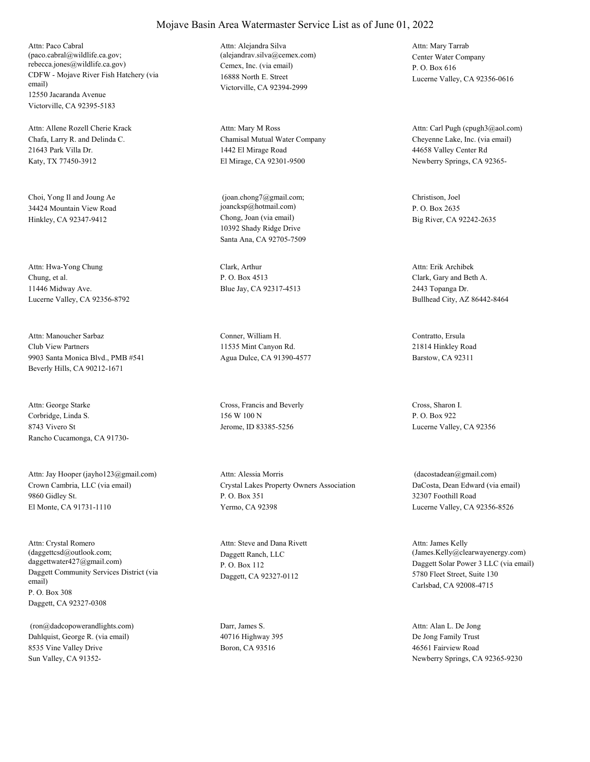CDFW - Mojave River Fish Hatchery (via email) 12550 Jacaranda Avenue Victorville, CA 92395-5183 Attn: Paco Cabral (paco.cabral@wildlife.ca.gov; rebecca.jones@wildlife.ca.gov) Cemex, Inc. (via email)

Chafa, Larry R. and Delinda C. 21643 Park Villa Dr. Katy, TX 77450-3912 Attn: Allene Rozell Cherie Krack

Choi, Yong Il and Joung Ae 34424 Mountain View Road Hinkley, CA 92347-9412 Chong, Joan (via email)

Chung, et al. 11446 Midway Ave. Lucerne Valley, CA 92356-8792 Attn: Hwa-Yong Chung Clark, Arthur

Club View Partners 9903 Santa Monica Blvd., PMB #541 Beverly Hills, CA 90212-1671 Attn: Manoucher Sarbaz Conner, William H.

Corbridge, Linda S. 8743 Vivero St Rancho Cucamonga, CA 91730- Attn: George Starke Cross, Francis and Beverly

Crown Cambria, LLC (via email) 9860 Gidley St. El Monte, CA 91731-1110 Attn: Jay Hooper (jayho123@gmail.com)

Daggett Community Services District (via email) P. O. Box 308 Daggett, CA 92327-0308 Attn: Crystal Romero (daggettcsd@outlook.com; daggettwater427@gmail.com)

Dahlquist, George R. (via email) 8535 Vine Valley Drive Sun Valley, CA 91352- (ron@dadcopowerandlights.com) Darr, James S.

16888 North E. Street Victorville, CA 92394-2999 Attn: Alejandra Silva (alejandrav.silva@cemex.com) Center Water Company

Chamisal Mutual Water Company 1442 El Mirage Road El Mirage, CA 92301-9500 Attn: Mary M Ross

10392 Shady Ridge Drive Santa Ana, CA 92705-7509 (joan.chong7@gmail.com; joancksp@hotmail.com)

P. O. Box 4513 Blue Jay, CA 92317-4513

11535 Mint Canyon Rd. Agua Dulce, CA 91390-4577

156 W 100 N Jerome, ID 83385-5256

Crystal Lakes Property Owners Association P. O. Box 351 Yermo, CA 92398 Attn: Alessia Morris

Daggett Ranch, LLC P. O. Box 112 Daggett, CA 92327-0112 Attn: Steve and Dana Rivett

40716 Highway 395 Boron, CA 93516

P. O. Box 616 Lucerne Valley, CA 92356-0616 Attn: Mary Tarrab

Cheyenne Lake, Inc. (via email) 44658 Valley Center Rd Newberry Springs, CA 92365- Attn: Carl Pugh (cpugh3@aol.com)

Christison, Joel P. O. Box 2635 Big River, CA 92242-2635

Clark, Gary and Beth A. 2443 Topanga Dr. Bullhead City, AZ 86442-8464 Attn: Erik Archibek

Contratto, Ersula 21814 Hinkley Road Barstow, CA 92311

Cross, Sharon I. P. O. Box 922 Lucerne Valley, CA 92356

DaCosta, Dean Edward (via email) 32307 Foothill Road Lucerne Valley, CA 92356-8526 (dacostadean@gmail.com)

Daggett Solar Power 3 LLC (via email) 5780 Fleet Street, Suite 130 Carlsbad, CA 92008-4715 Attn: James Kelly (James.Kelly@clearwayenergy.com)

De Jong Family Trust 46561 Fairview Road Newberry Springs, CA 92365-9230 Attn: Alan L. De Jong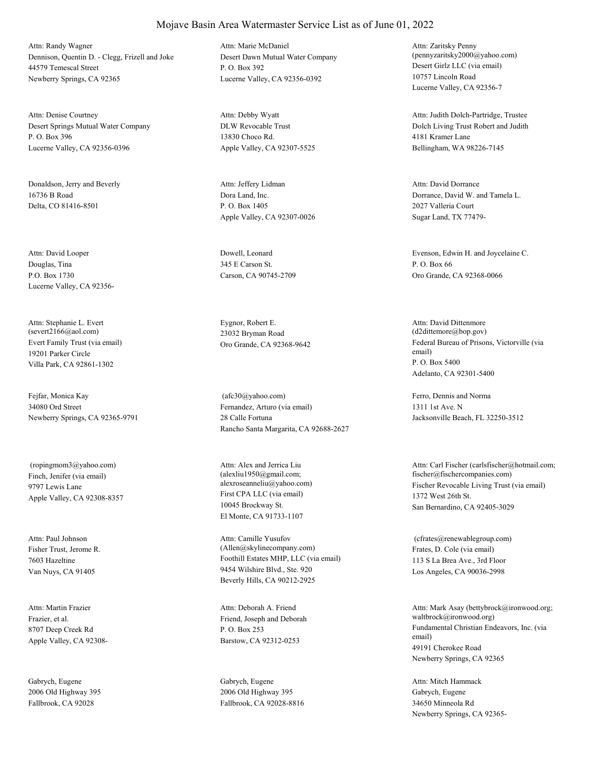Dennison, Quentin D. - Clegg, Frizell and Joke 44579 Temescal Street Newberry Springs, CA 92365 Attn: Randy Wagner

Desert Springs Mutual Water Company P. O. Box 396 Lucerne Valley, CA 92356-0396 Attn: Denise Courtney

Donaldson, Jerry and Beverly 16736 B Road Delta, CO 81416-8501

Douglas, Tina P.O. Box 1730 Lucerne Valley, CA 92356- Attn: David Looper Dowell, Leonard

Evert Family Trust (via email) 19201 Parker Circle Villa Park, CA 92861-1302 Attn: Stephanie L. Evert (severt2166@aol.com)

Fejfar, Monica Kay 34080 Ord Street Newberry Springs, CA 92365-9791

Finch, Jenifer (via email) 9797 Lewis Lane Apple Valley, CA 92308-8357 (ropingmom3@yahoo.com)

Fisher Trust, Jerome R. 7603 Hazeltine Van Nuys, CA 91405 Attn: Paul Johnson

Frazier, et al. 8707 Deep Creek Rd Apple Valley, CA 92308- Attn: Martin Frazier

Gabrych, Eugene 2006 Old Highway 395 Fallbrook, CA 92028

Desert Dawn Mutual Water Company P. O. Box 392 Lucerne Valley, CA 92356-0392 Attn: Marie McDaniel

DLW Revocable Trust 13830 Choco Rd. Apple Valley, CA 92307-5525 Attn: Debby Wyatt

Dora Land, Inc. P. O. Box 1405 Apple Valley, CA 92307-0026 Attn: Jeffery Lidman

345 E Carson St. Carson, CA 90745-2709

Eygnor, Robert E. 23032 Bryman Road

Fernandez, Arturo (via email) 28 Calle Fortuna Rancho Santa Margarita, CA 92688-2627 (afc30@yahoo.com) Ferro, Dennis and Norma

First CPA LLC (via email) 10045 Brockway St. El Monte, CA 91733-1107 Attn: Alex and Jerrica Liu (alexliu1950@gmail.com;

Foothill Estates MHP, LLC (via email) 9454 Wilshire Blvd., Ste. 920 Beverly Hills, CA 90212-2925 Attn: Camille Yusufov (Allen@skylinecompany.com) Frates, D. Cole (via email)

Friend, Joseph and Deborah P. O. Box 253 Barstow, CA 92312-0253 Attn: Deborah A. Friend

Gabrych, Eugene 2006 Old Highway 395 Fallbrook, CA 92028-8816 Desert Girlz LLC (via email) 10757 Lincoln Road Lucerne Valley, CA 92356-7 Attn: Zaritsky Penny (pennyzaritsky2000@yahoo.com)

Dolch Living Trust Robert and Judith 4181 Kramer Lane Bellingham, WA 98226-7145 Attn: Judith Dolch-Partridge, Trustee

Dorrance, David W. and Tamela L. 2027 Valleria Court Sugar Land, TX 77479- Attn: David Dorrance

Evenson, Edwin H. and Joycelaine C. P. O. Box 66 Oro Grande, CA 92368-0066

Oro Grande, CA 92368-9642 Federal Bureau of Prisons, Victorville (via email) P. O. Box 5400 Adelanto, CA 92301-5400 Attn: David Dittenmore (d2dittemore@bop.gov)

> 1311 1st Ave. N Jacksonville Beach, FL 32250-3512

alexroseanneliu@yahoo.com) Fischer Revocable Living Trust (via email) 1372 West 26th St. San Bernardino, CA 92405-3029 Attn: Carl Fischer (carlsfischer@hotmail.com; fischer@fischercompanies.com)

> 113 S La Brea Ave., 3rd Floor Los Angeles, CA 90036-2998 (cfrates@renewablegroup.com)

Fundamental Christian Endeavors, Inc. (via email) 49191 Cherokee Road Newberry Springs, CA 92365 Attn: Mark Asay (bettybrock@ironwood.org; waltbrock@ironwood.org)

Gabrych, Eugene 34650 Minneola Rd Newberry Springs, CA 92365- Attn: Mitch Hammack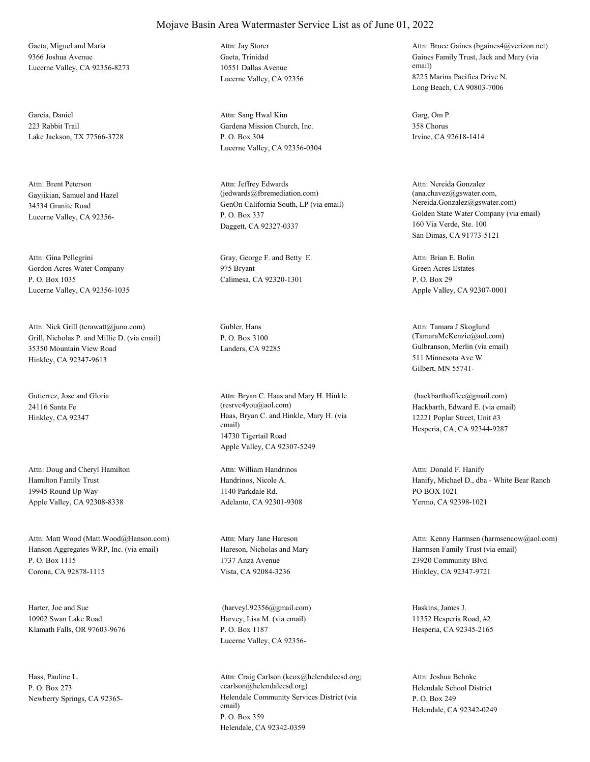Gaeta, Miguel and Maria 9366 Joshua Avenue Lucerne Valley, CA 92356-8273

Garcia, Daniel 223 Rabbit Trail Lake Jackson, TX 77566-3728

Gayjikian, Samuel and Hazel 34534 Granite Road Lucerne Valley, CA 92356- Attn: Brent Peterson

Gordon Acres Water Company P. O. Box 1035 Lucerne Valley, CA 92356-1035 Attn: Gina Pellegrini Gray, George F. and Betty E.

Grill, Nicholas P. and Millie D. (via email) 35350 Mountain View Road Hinkley, CA 92347-9613 Attn: Nick Grill (terawatt@juno.com) Gubler, Hans

Gutierrez, Jose and Gloria 24116 Santa Fe

Hamilton Family Trust 19945 Round Up Way Apple Valley, CA 92308-8338 Attn: Doug and Cheryl Hamilton

Hanson Aggregates WRP, Inc. (via email) P. O. Box 1115 Corona, CA 92878-1115 Attn: Matt Wood (Matt.Wood@Hanson.com)

Harter, Joe and Sue 10902 Swan Lake Road Klamath Falls, OR 97603-9676

Hass, Pauline L. P. O. Box 273

#### Mojave Basin Area Watermaster Service List as of June 01, 2022

Gaeta, Trinidad 10551 Dallas Avenue Lucerne Valley, CA 92356 Attn: Jay Storer

Gardena Mission Church, Inc. P. O. Box 304 Lucerne Valley, CA 92356-0304 Attn: Sang Hwal Kim Garg, Om P.

GenOn California South, LP (via email) P. O. Box 337 Daggett, CA 92327-0337 Attn: Jeffrey Edwards (jedwards@fbremediation.com)

975 Bryant Calimesa, CA 92320-1301

P. O. Box 3100

Hinkley, CA 92347 Haas, Bryan C. and Hinkle, Mary H. (via email) 14730 Tigertail Road Apple Valley, CA 92307-5249 Attn: Bryan C. Haas and Mary H. Hinkle (resrvc4you@aol.com) Hackbarth, Edward E. (via email)

> Handrinos, Nicole A. 1140 Parkdale Rd. Adelanto, CA 92301-9308 Attn: William Handrinos

Hareson, Nicholas and Mary 1737 Anza Avenue Vista, CA 92084-3236 Attn: Mary Jane Hareson

Harvey, Lisa M. (via email) P. O. Box 1187 Lucerne Valley, CA 92356- (harveyl.92356@gmail.com) Haskins, James J.

Newberry Springs, CA 92365- Helendale Community Services District (via email) P. O. Box 359 Helendale, CA 92342-0359 Attn: Craig Carlson (kcox@helendalecsd.org; ccarlson@helendalecsd.org) Helendale School District

Gaines Family Trust, Jack and Mary (via email) 8225 Marina Pacifica Drive N. Long Beach, CA 90803-7006 Attn: Bruce Gaines (bgaines4@verizon.net)

358 Chorus Irvine, CA 92618-1414

Golden State Water Company (via email) 160 Via Verde, Ste. 100 San Dimas, CA 91773-5121 Attn: Nereida Gonzalez (ana.chavez@gswater.com, Nereida.Gonzalez@gswater.com)

Green Acres Estates P. O. Box 29 Apple Valley, CA 92307-0001 Attn: Brian E. Bolin

Landers, CA 92285 Gulbranson, Merlin (via email) 511 Minnesota Ave W Gilbert, MN 55741- Attn: Tamara J Skoglund (TamaraMcKenzie@aol.com)

> 12221 Poplar Street, Unit #3 Hesperia, CA, CA 92344-9287 (hackbarthoffice@gmail.com)

Hanify, Michael D., dba - White Bear Ranch PO BOX 1021 Yermo, CA 92398-1021 Attn: Donald F. Hanify

Harmsen Family Trust (via email) 23920 Community Blvd. Hinkley, CA 92347-9721 Attn: Kenny Harmsen (harmsencow@aol.com)

11352 Hesperia Road, #2 Hesperia, CA 92345-2165

P. O. Box 249 Helendale, CA 92342-0249 Attn: Joshua Behnke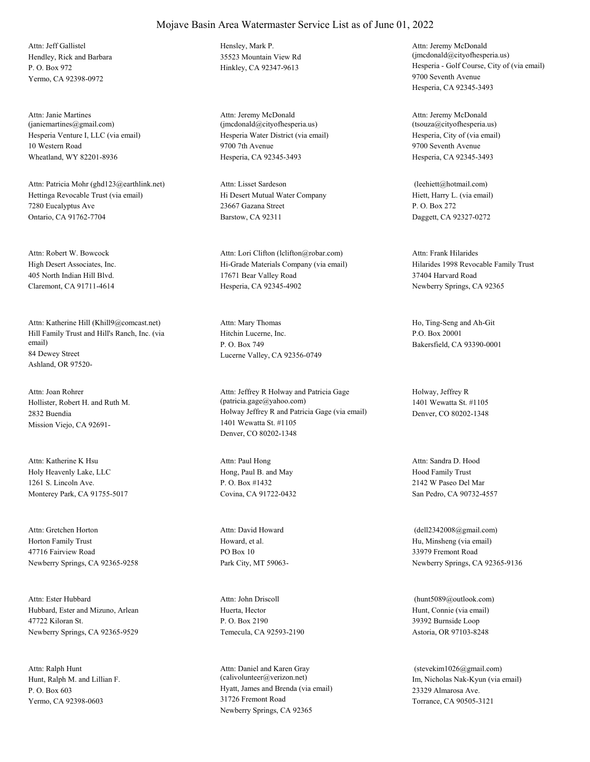Hendley, Rick and Barbara P. O. Box 972 Yermo, CA 92398-0972 Attn: Jeff Gallistel Hensley, Mark P.

Hesperia Venture I, LLC (via email) 10 Western Road Wheatland, WY 82201-8936 Attn: Janie Martines (janiemartines@gmail.com)

Hettinga Revocable Trust (via email) 7280 Eucalyptus Ave Ontario, CA 91762-7704 Attn: Patricia Mohr (ghd123@earthlink.net)

High Desert Associates, Inc. 405 North Indian Hill Blvd. Claremont, CA 91711-4614 Attn: Robert W. Bowcock

Hill Family Trust and Hill's Ranch, Inc. (via email) 84 Dewey Street Ashland, OR 97520- Attn: Katherine Hill (Khill9@comcast.net)

Hollister, Robert H. and Ruth M. 2832 Buendia Mission Viejo, CA 92691- Attn: Joan Rohrer

Holy Heavenly Lake, LLC 1261 S. Lincoln Ave. Monterey Park, CA 91755-5017 Attn: Katherine K Hsu

Horton Family Trust 47716 Fairview Road Newberry Springs, CA 92365-9258 Attn: Gretchen Horton

Hubbard, Ester and Mizuno, Arlean 47722 Kiloran St. Newberry Springs, CA 92365-9529 Attn: Ester Hubbard

Hunt, Ralph M. and Lillian F. P. O. Box 603 Yermo, CA 92398-0603 Attn: Ralph Hunt

35523 Mountain View Rd

Hesperia Water District (via email) 9700 7th Avenue Hesperia, CA 92345-3493 Attn: Jeremy McDonald (jmcdonald@cityofhesperia.us)

Hi Desert Mutual Water Company 23667 Gazana Street Barstow, CA 92311 Attn: Lisset Sardeson

Hi-Grade Materials Company (via email) 17671 Bear Valley Road Hesperia, CA 92345-4902 Attn: Lori Clifton (lclifton@robar.com)

Hitchin Lucerne, Inc. P. O. Box 749 Lucerne Valley, CA 92356-0749 Attn: Mary Thomas Ho, Ting-Seng and Ah-Git

Holway Jeffrey R and Patricia Gage (via email) 1401 Wewatta St. #1105 Denver, CO 80202-1348 Attn: Jeffrey R Holway and Patricia Gage (patricia.gage@yahoo.com)

Hong, Paul B. and May P. O. Box #1432 Covina, CA 91722-0432 Attn: Paul Hong

Howard, et al. PO Box 10 Park City, MT 59063- Attn: David Howard

Huerta, Hector P. O. Box 2190 Temecula, CA 92593-2190 Attn: John Driscoll

Hyatt, James and Brenda (via email) 31726 Fremont Road Newberry Springs, CA 92365 Attn: Daniel and Karen Gray (calivolunteer@verizon.net) Im, Nicholas Nak-Kyun (via email)

Hinkley, CA 92347-9613 Hesperia - Golf Course, City of (via email) 9700 Seventh Avenue Hesperia, CA 92345-3493 Attn: Jeremy McDonald (jmcdonald@cityofhesperia.us)

> Hesperia, City of (via email) 9700 Seventh Avenue Hesperia, CA 92345-3493 Attn: Jeremy McDonald (tsouza@cityofhesperia.us)

Hiett, Harry L. (via email) P. O. Box 272 Daggett, CA 92327-0272 (leehiett@hotmail.com)

Hilarides 1998 Revocable Family Trust 37404 Harvard Road Newberry Springs, CA 92365 Attn: Frank Hilarides

P.O. Box 20001 Bakersfield, CA 93390-0001

Holway, Jeffrey R 1401 Wewatta St. #1105 Denver, CO 80202-1348

Hood Family Trust 2142 W Paseo Del Mar San Pedro, CA 90732-4557 Attn: Sandra D. Hood

Hu, Minsheng (via email) 33979 Fremont Road Newberry Springs, CA 92365-9136 (dell2342008@gmail.com)

Hunt, Connie (via email) 39392 Burnside Loop Astoria, OR 97103-8248 (hunt5089@outlook.com)

23329 Almarosa Ave. Torrance, CA 90505-3121 (stevekim1026@gmail.com)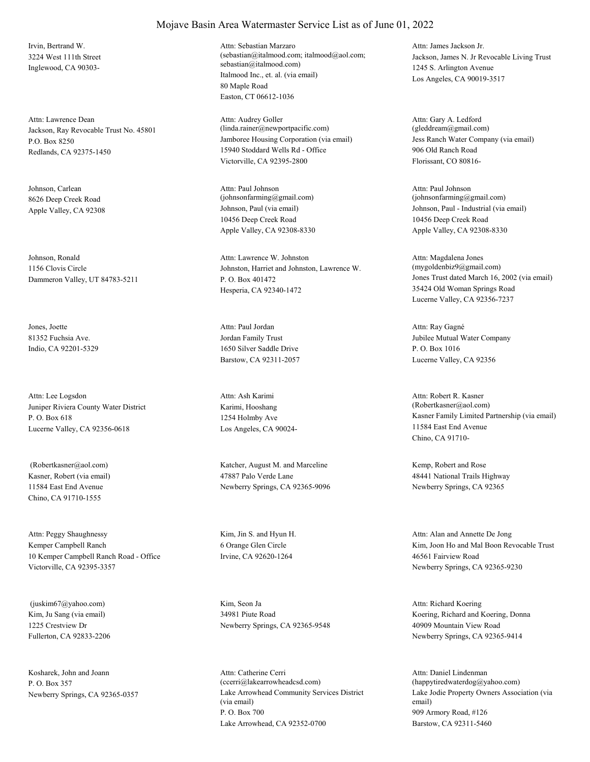Irvin, Bertrand W. 3224 West 111th Street Inglewood, CA 90303-

Jackson, Ray Revocable Trust No. 45801 P.O. Box 8250 Redlands, CA 92375-1450 Attn: Lawrence Dean

Johnson, Carlean 8626 Deep Creek Road

Johnson, Ronald 1156 Clovis Circle Dammeron Valley, UT 84783-5211

Jones, Joette 81352 Fuchsia Ave. Indio, CA 92201-5329

Juniper Riviera County Water District P. O. Box 618 Lucerne Valley, CA 92356-0618 Attn: Lee Logsdon

Kasner, Robert (via email) 11584 East End Avenue Chino, CA 91710-1555

Kemper Campbell Ranch 10 Kemper Campbell Ranch Road - Office Victorville, CA 92395-3357 Attn: Peggy Shaughnessy Kim, Jin S. and Hyun H.

Kim, Ju Sang (via email) 1225 Crestview Dr Fullerton, CA 92833-2206 (juskim67@yahoo.com) Kim, Seon Ja

Kosharek, John and Joann P. O. Box 357

#### Mojave Basin Area Watermaster Service List as of June 01, 2022

Italmood Inc., et. al. (via email) 80 Maple Road Easton, CT 06612-1036 Attn: Sebastian Marzaro (sebastian@italmood.com; italmood@aol.com; sebastian@italmood.com)

Jamboree Housing Corporation (via email) 15940 Stoddard Wells Rd - Office Victorville, CA 92395-2800 Attn: Audrey Goller (linda.rainer@newportpacific.com)

Apple Valley, CA 92308 Johnson, Paul (via email) 10456 Deep Creek Road Apple Valley, CA 92308-8330 Attn: Paul Johnson (johnsonfarming@gmail.com)

> Johnston, Harriet and Johnston, Lawrence W. P. O. Box 401472 Hesperia, CA 92340-1472 Attn: Lawrence W. Johnston

Jordan Family Trust 1650 Silver Saddle Drive Barstow, CA 92311-2057 Attn: Paul Jordan

Karimi, Hooshang 1254 Holmby Ave Los Angeles, CA 90024- Attn: Ash Karimi

 (Robertkasner@aol.com) Katcher, August M. and Marceline 47887 Palo Verde Lane Newberry Springs, CA 92365-9096

> 6 Orange Glen Circle Irvine, CA 92620-1264

34981 Piute Road Newberry Springs, CA 92365-9548

Newberry Springs, CA 92365-0357 Lake Arrowhead Community Services District (via email) P. O. Box 700 Lake Arrowhead, CA 92352-0700 Attn: Catherine Cerri (ccerri@lakearrowheadcsd.com)

Jackson, James N. Jr Revocable Living Trust 1245 S. Arlington Avenue Los Angeles, CA 90019-3517 Attn: James Jackson Jr.

Jess Ranch Water Company (via email) 906 Old Ranch Road Florissant, CO 80816- Attn: Gary A. Ledford (gleddream@gmail.com)

Johnson, Paul - Industrial (via email) 10456 Deep Creek Road Apple Valley, CA 92308-8330 Attn: Paul Johnson  $(iohnsonfarming@gmail.com)$ 

Jones Trust dated March 16, 2002 (via email) 35424 Old Woman Springs Road Lucerne Valley, CA 92356-7237 Attn: Magdalena Jones (mygoldenbiz9@gmail.com)

Jubilee Mutual Water Company P. O. Box 1016 Lucerne Valley, CA 92356 Attn: Ray Gagné

Kasner Family Limited Partnership (via email) 11584 East End Avenue Chino, CA 91710- Attn: Robert R. Kasner (Robertkasner@aol.com)

Kemp, Robert and Rose 48441 National Trails Highway Newberry Springs, CA 92365

Kim, Joon Ho and Mal Boon Revocable Trust 46561 Fairview Road Newberry Springs, CA 92365-9230 Attn: Alan and Annette De Jong

Koering, Richard and Koering, Donna 40909 Mountain View Road Newberry Springs, CA 92365-9414 Attn: Richard Koering

Lake Jodie Property Owners Association (via email) 909 Armory Road, #126 Barstow, CA 92311-5460 Attn: Daniel Lindenman (happytiredwaterdog@yahoo.com)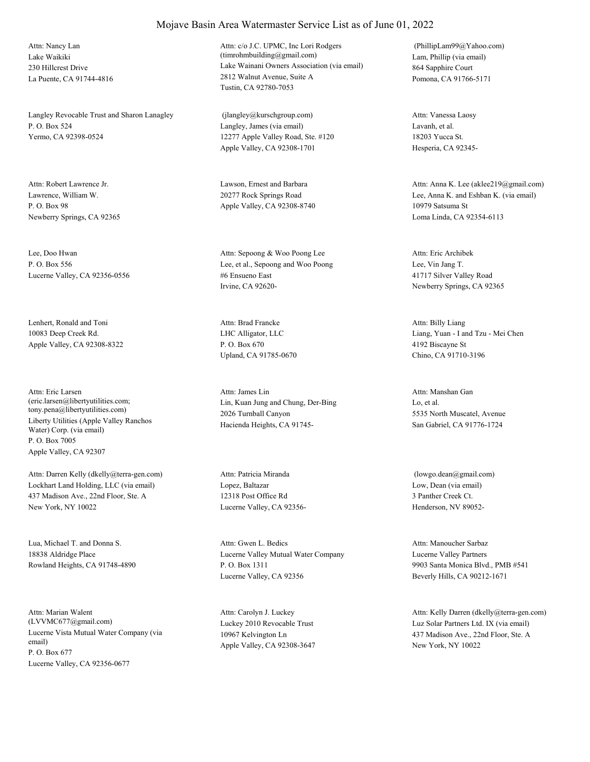Lake Waikiki 230 Hillcrest Drive La Puente, CA 91744-4816 Attn: Nancy Lan

Langley Revocable Trust and Sharon Lanagley P. O. Box 524 Yermo, CA 92398-0524

Lawrence, William W. P. O. Box 98 Newberry Springs, CA 92365 Attn: Robert Lawrence Jr. Lawson, Ernest and Barbara

Lee, Doo Hwan P. O. Box 556 Lucerne Valley, CA 92356-0556

Lenhert, Ronald and Toni 10083 Deep Creek Rd. Apple Valley, CA 92308-8322

Liberty Utilities (Apple Valley Ranchos Water) Corp. (via email) P. O. Box 7005 Apple Valley, CA 92307 Attn: Eric Larsen (eric.larsen@libertyutilities.com; tony.pena@libertyutilities.com)

Lockhart Land Holding, LLC (via email) 437 Madison Ave., 22nd Floor, Ste. A New York, NY 10022 Attn: Darren Kelly (dkelly@terra-gen.com)

Lua, Michael T. and Donna S. 18838 Aldridge Place Rowland Heights, CA 91748-4890

Lucerne Vista Mutual Water Company (via email) P. O. Box 677 Lucerne Valley, CA 92356-0677 Attn: Marian Walent (LVVMC677@gmail.com) Luckey 2010 Revocable Trust

# Mojave Basin Area Watermaster Service List as of June 01, 2022

Lake Wainani Owners Association (via email) 2812 Walnut Avenue, Suite A Tustin, CA 92780-7053 Attn: c/o J.C. UPMC, Inc Lori Rodgers (timrohmbuilding@gmail.com) Lam, Phillip (via email)

Langley, James (via email) 12277 Apple Valley Road, Ste. #120 Apple Valley, CA 92308-1701 (jlangley@kurschgroup.com)

20277 Rock Springs Road Apple Valley, CA 92308-8740

Lee, et al., Sepoong and Woo Poong #6 Ensueno East Irvine, CA 92620- Attn: Sepoong & Woo Poong Lee

LHC Alligator, LLC P. O. Box 670 Upland, CA 91785-0670 Attn: Brad Francke

Lin, Kuan Jung and Chung, Der-Bing 2026 Turnball Canyon Hacienda Heights, CA 91745- Attn: James Lin

Lopez, Baltazar 12318 Post Office Rd Lucerne Valley, CA 92356- Attn: Patricia Miranda

Lucerne Valley Mutual Water Company P. O. Box 1311 Lucerne Valley, CA 92356 Attn: Gwen L. Bedics

10967 Kelvington Ln Apple Valley, CA 92308-3647 Attn: Carolyn J. Luckey

864 Sapphire Court Pomona, CA 91766-5171 (PhillipLam99@Yahoo.com)

Lavanh, et al. 18203 Yucca St. Hesperia, CA 92345- Attn: Vanessa Laosy

Lee, Anna K. and Eshban K. (via email) 10979 Satsuma St Loma Linda, CA 92354-6113 Attn: Anna K. Lee (aklee219@gmail.com)

Lee, Vin Jang T. 41717 Silver Valley Road Newberry Springs, CA 92365 Attn: Eric Archibek

Liang, Yuan - I and Tzu - Mei Chen 4192 Biscayne St Chino, CA 91710-3196 Attn: Billy Liang

Lo, et al. 5535 North Muscatel, Avenue San Gabriel, CA 91776-1724 Attn: Manshan Gan

Low, Dean (via email) 3 Panther Creek Ct. Henderson, NV 89052- (lowgo.dean@gmail.com)

Lucerne Valley Partners 9903 Santa Monica Blvd., PMB #541 Beverly Hills, CA 90212-1671 Attn: Manoucher Sarbaz

Luz Solar Partners Ltd. IX (via email) 437 Madison Ave., 22nd Floor, Ste. A New York, NY 10022 Attn: Kelly Darren (dkelly@terra-gen.com)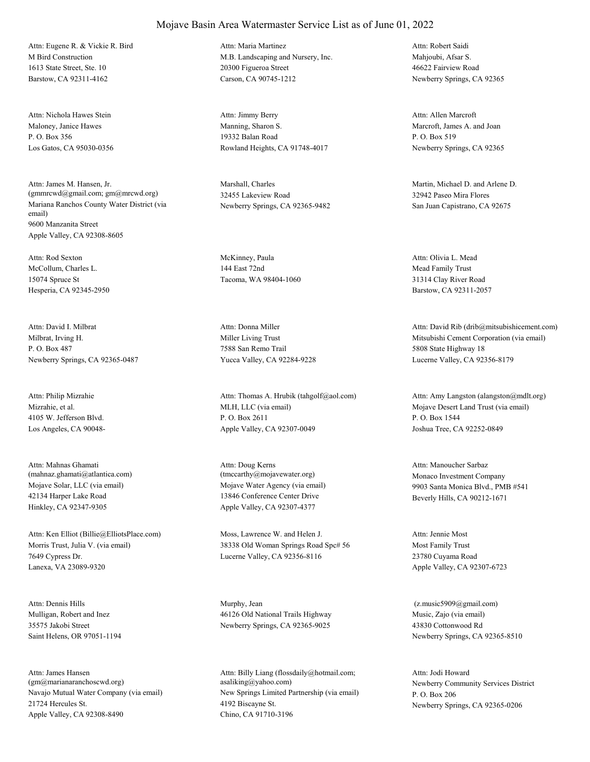M Bird Construction 1613 State Street, Ste. 10 Barstow, CA 92311-4162 Attn: Eugene R. & Vickie R. Bird

Maloney, Janice Hawes P. O. Box 356 Los Gatos, CA 95030-0356 Attn: Nichola Hawes Stein

Mariana Ranchos County Water District (via email) 9600 Manzanita Street Apple Valley, CA 92308-8605 Attn: James M. Hansen, Jr. (gmmrcwd@gmail.com; gm@mrcwd.org)

McCollum, Charles L. 15074 Spruce St Hesperia, CA 92345-2950 Attn: Rod Sexton McKinney, Paula

Milbrat, Irving H. P. O. Box 487 Newberry Springs, CA 92365-0487 Attn: David I. Milbrat

Mizrahie, et al. 4105 W. Jefferson Blvd. Los Angeles, CA 90048- Attn: Philip Mizrahie

Mojave Solar, LLC (via email) 42134 Harper Lake Road Hinkley, CA 92347-9305 Attn: Mahnas Ghamati (mahnaz.ghamati@atlantica.com)

Morris Trust, Julia V. (via email) 7649 Cypress Dr. Lanexa, VA 23089-9320 Attn: Ken Elliot (Billie@ElliotsPlace.com) Moss, Lawrence W. and Helen J.

Mulligan, Robert and Inez 35575 Jakobi Street Saint Helens, OR 97051-1194 Attn: Dennis Hills Murphy, Jean

Navajo Mutual Water Company (via email) 21724 Hercules St. Apple Valley, CA 92308-8490 Attn: James Hansen (gm@marianaranchoscwd.org)

#### Mojave Basin Area Watermaster Service List as of June 01, 2022

M.B. Landscaping and Nursery, Inc. 20300 Figueroa Street Carson, CA 90745-1212 Attn: Maria Martinez

Manning, Sharon S. 19332 Balan Road Rowland Heights, CA 91748-4017 Attn: Jimmy Berry

Marshall, Charles 32455 Lakeview Road Newberry Springs, CA 92365-9482

144 East 72nd Tacoma, WA 98404-1060

Miller Living Trust 7588 San Remo Trail Yucca Valley, CA 92284-9228 Attn: Donna Miller

MLH, LLC (via email) P. O. Box 2611 Apple Valley, CA 92307-0049 Attn: Thomas A. Hrubik (tahgolf@aol.com)

Mojave Water Agency (via email) 13846 Conference Center Drive Apple Valley, CA 92307-4377 Attn: Doug Kerns (tmccarthy@mojavewater.org) Monaco Investment Company

38338 Old Woman Springs Road Spc# 56 Lucerne Valley, CA 92356-8116

46126 Old National Trails Highway Newberry Springs, CA 92365-9025

New Springs Limited Partnership (via email) 4192 Biscayne St. Chino, CA 91710-3196 Attn: Billy Liang (flossdaily@hotmail.com; asaliking@yahoo.com) Newberry Community Services District

Mahjoubi, Afsar S. 46622 Fairview Road Newberry Springs, CA 92365 Attn: Robert Saidi

Marcroft, James A. and Joan P. O. Box 519 Newberry Springs, CA 92365 Attn: Allen Marcroft

Martin, Michael D. and Arlene D. 32942 Paseo Mira Flores San Juan Capistrano, CA 92675

Mead Family Trust 31314 Clay River Road Barstow, CA 92311-2057 Attn: Olivia L. Mead

Mitsubishi Cement Corporation (via email) 5808 State Highway 18 Lucerne Valley, CA 92356-8179 Attn: David Rib (drib@mitsubishicement.com)

Mojave Desert Land Trust (via email) P. O. Box 1544 Joshua Tree, CA 92252-0849 Attn: Amy Langston (alangston@mdlt.org)

9903 Santa Monica Blvd., PMB #541 Beverly Hills, CA 90212-1671 Attn: Manoucher Sarbaz

Most Family Trust 23780 Cuyama Road Apple Valley, CA 92307-6723 Attn: Jennie Most

Music, Zajo (via email) 43830 Cottonwood Rd Newberry Springs, CA 92365-8510 (z.music5909@gmail.com)

P. O. Box 206 Newberry Springs, CA 92365-0206 Attn: Jodi Howard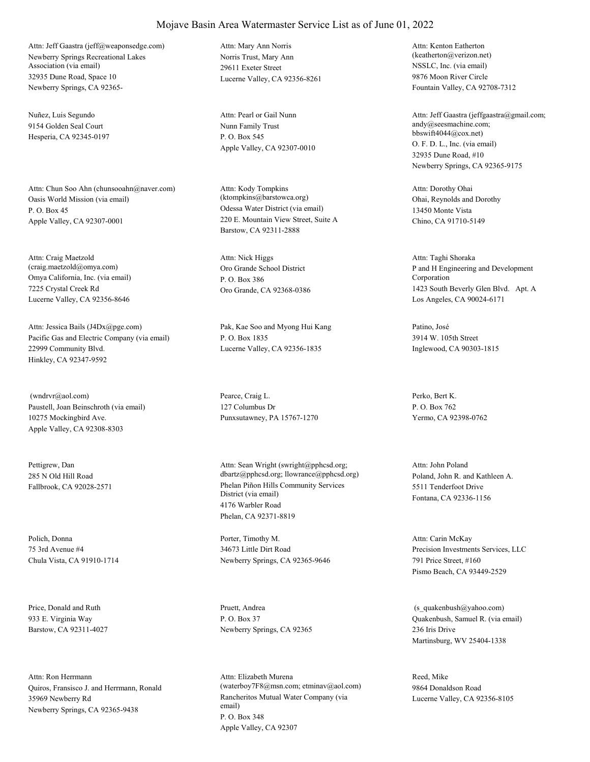Newberry Springs Recreational Lakes Association (via email) 32935 Dune Road, Space 10 Newberry Springs, CA 92365- Attn: Jeff Gaastra (jeff@weaponsedge.com)

Nuñez, Luis Segundo 9154 Golden Seal Court Hesperia, CA 92345-0197

Oasis World Mission (via email) P. O. Box 45 Apple Valley, CA 92307-0001 Attn: Chun Soo Ahn (chunsooahn@naver.com)

Omya California, Inc. (via email) 7225 Crystal Creek Rd Lucerne Valley, CA 92356-8646 Attn: Craig Maetzold (craig.maetzold@omya.com) Oro Grande School District

Pacific Gas and Electric Company (via email) 22999 Community Blvd. Hinkley, CA 92347-9592 Attn: Jessica Bails (J4Dx@pge.com) Pak, Kae Soo and Myong Hui Kang

Paustell, Joan Beinschroth (via email) 10275 Mockingbird Ave. Apple Valley, CA 92308-8303 (wndrvr@aol.com) Pearce, Craig L.

Pettigrew, Dan 285 N Old Hill Road

Polich, Donna 75 3rd Avenue #4 Chula Vista, CA 91910-1714

Price, Donald and Ruth 933 E. Virginia Way Barstow, CA 92311-4027

Quiros, Fransisco J. and Herrmann, Ronald 35969 Newberry Rd Newberry Springs, CA 92365-9438 Attn: Ron Herrmann

Norris Trust, Mary Ann 29611 Exeter Street Lucerne Valley, CA 92356-8261 Attn: Mary Ann Norris

Nunn Family Trust P. O. Box 545 Apple Valley, CA 92307-0010 Attn: Pearl or Gail Nunn

Odessa Water District (via email) 220 E. Mountain View Street, Suite A Barstow, CA 92311-2888 Attn: Kody Tompkins (ktompkins@barstowca.org) Ohai, Reynolds and Dorothy

P. O. Box 386 Oro Grande, CA 92368-0386 Attn: Nick Higgs

P. O. Box 1835 Lucerne Valley, CA 92356-1835

127 Columbus Dr Punxsutawney, PA 15767-1270

Fallbrook, CA 92028-2571 Phelan Piñon Hills Community Services District (via email) 4176 Warbler Road Phelan, CA 92371-8819 Attn: Sean Wright (swright@pphcsd.org; dbartz@pphcsd.org; llowrance@pphcsd.org) Poland, John R. and Kathleen A.

> Porter, Timothy M. 34673 Little Dirt Road Newberry Springs, CA 92365-9646

Pruett, Andrea P. O. Box 37 Newberry Springs, CA 92365

Rancheritos Mutual Water Company (via email) P. O. Box 348 Apple Valley, CA 92307 Attn: Elizabeth Murena (waterboy7F8@msn.com; etminav@aol.com) NSSLC, Inc. (via email) 9876 Moon River Circle Fountain Valley, CA 92708-7312 Attn: Kenton Eatherton (keatherton@verizon.net)

O. F. D. L., Inc. (via email) 32935 Dune Road, #10 Newberry Springs, CA 92365-9175 Attn: Jeff Gaastra (jeffgaastra@gmail.com; andy@seesmachine.com; bbswift4044@cox.net)

13450 Monte Vista Chino, CA 91710-5149 Attn: Dorothy Ohai

P and H Engineering and Development Corporation 1423 South Beverly Glen Blvd. Apt. A Los Angeles, CA 90024-6171 Attn: Taghi Shoraka

Patino, José 3914 W. 105th Street Inglewood, CA 90303-1815

Perko, Bert K. P. O. Box 762 Yermo, CA 92398-0762

5511 Tenderfoot Drive Fontana, CA 92336-1156 Attn: John Poland

Precision Investments Services, LLC 791 Price Street, #160 Pismo Beach, CA 93449-2529 Attn: Carin McKay

Quakenbush, Samuel R. (via email) 236 Iris Drive Martinsburg, WV 25404-1338 (s\_quakenbush@yahoo.com)

Reed, Mike 9864 Donaldson Road Lucerne Valley, CA 92356-8105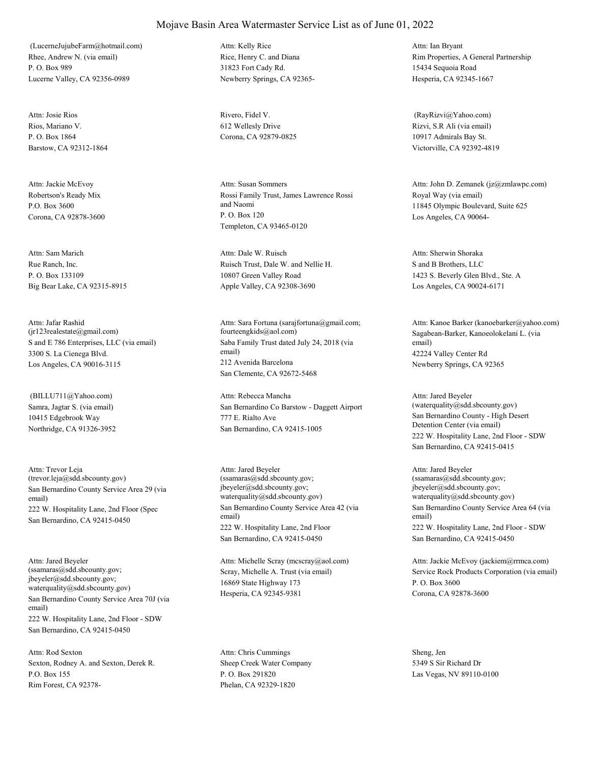Rhee, Andrew N. (via email) P. O. Box 989 Lucerne Valley, CA 92356-0989 (LucerneJujubeFarm@hotmail.com)

Rios, Mariano V. P. O. Box 1864 Barstow, CA 92312-1864 Attn: Josie Rios Rivero, Fidel V.

Robertson's Ready Mix P.O. Box 3600 Corona, CA 92878-3600 Attn: Jackie McEvoy

Rue Ranch, Inc. P. O. Box 133109 Big Bear Lake, CA 92315-8915 Attn: Sam Marich

S and E 786 Enterprises, LLC (via email) 3300 S. La Cienega Blvd. Los Angeles, CA 90016-3115 Attn: Jafar Rashid (jr123realestate@gmail.com)

Samra, Jagtar S. (via email) 10415 Edgebrook Way Northridge, CA 91326-3952 (BILLU711@Yahoo.com)

San Bernardino County Service Area 29 (via email) 222 W. Hospitality Lane, 2nd Floor (Spec San Bernardino, CA 92415-0450 Attn: Trevor Leja (trevor.leja@sdd.sbcounty.gov)

San Bernardino County Service Area 70J (via email) 222 W. Hospitality Lane, 2nd Floor - SDW San Bernardino, CA 92415-0450 Attn: Jared Beyeler (ssamaras@sdd.sbcounty.gov; jbeyeler@sdd.sbcounty.gov; waterquality@sdd.sbcounty.gov)

Sexton, Rodney A. and Sexton, Derek R. P.O. Box 155 Rim Forest, CA 92378- Attn: Rod Sexton

Rice, Henry C. and Diana 31823 Fort Cady Rd. Newberry Springs, CA 92365- Attn: Kelly Rice

612 Wellesly Drive Corona, CA 92879-0825

Rossi Family Trust, James Lawrence Rossi and Naomi P. O. Box 120 Templeton, CA 93465-0120 Attn: Susan Sommers

Ruisch Trust, Dale W. and Nellie H. 10807 Green Valley Road Apple Valley, CA 92308-3690 Attn: Dale W. Ruisch

Saba Family Trust dated July 24, 2018 (via email) 212 Avenida Barcelona San Clemente, CA 92672-5468 Attn: Sara Fortuna (sarajfortuna@gmail.com; fourteengkids@aol.com) Sagabean-Barker, Kanoeolokelani L. (via

San Bernardino Co Barstow - Daggett Airport 777 E. Rialto Ave San Bernardino, CA 92415-1005 Attn: Rebecca Mancha

San Bernardino County Service Area 42 (via email) 222 W. Hospitality Lane, 2nd Floor San Bernardino, CA 92415-0450 Attn: Jared Beyeler (ssamaras@sdd.sbcounty.gov; jbeyeler@sdd.sbcounty.gov; waterquality@sdd.sbcounty.gov)

Scray, Michelle A. Trust (via email) 16869 State Highway 173 Hesperia, CA 92345-9381 Attn: Michelle Scray (mcscray@aol.com)

Sheep Creek Water Company P. O. Box 291820 Phelan, CA 92329-1820 Attn: Chris Cummings Sheng, Jen

Rim Properties, A General Partnership 15434 Sequoia Road Hesperia, CA 92345-1667 Attn: Ian Bryant

Rizvi, S.R Ali (via email) 10917 Admirals Bay St. Victorville, CA 92392-4819 (RayRizvi@Yahoo.com)

Royal Way (via email) 11845 Olympic Boulevard, Suite 625 Los Angeles, CA 90064- Attn: John D. Zemanek (jz@zmlawpc.com)

S and B Brothers, LLC 1423 S. Beverly Glen Blvd., Ste. A Los Angeles, CA 90024-6171 Attn: Sherwin Shoraka

email) 42224 Valley Center Rd Newberry Springs, CA 92365 Attn: Kanoe Barker (kanoebarker@yahoo.com)

San Bernardino County - High Desert Detention Center (via email) 222 W. Hospitality Lane, 2nd Floor - SDW San Bernardino, CA 92415-0415 Attn: Jared Beyeler (waterquality@sdd.sbcounty.gov)

San Bernardino County Service Area 64 (via email) 222 W. Hospitality Lane, 2nd Floor - SDW San Bernardino, CA 92415-0450 Attn: Jared Beyeler (ssamaras@sdd.sbcounty.gov; jbeyeler@sdd.sbcounty.gov; waterquality@sdd.sbcounty.gov)

Service Rock Products Corporation (via email) P. O. Box 3600 Corona, CA 92878-3600 Attn: Jackie McEvoy (jackiem@rrmca.com)

5349 S Sir Richard Dr Las Vegas, NV 89110-0100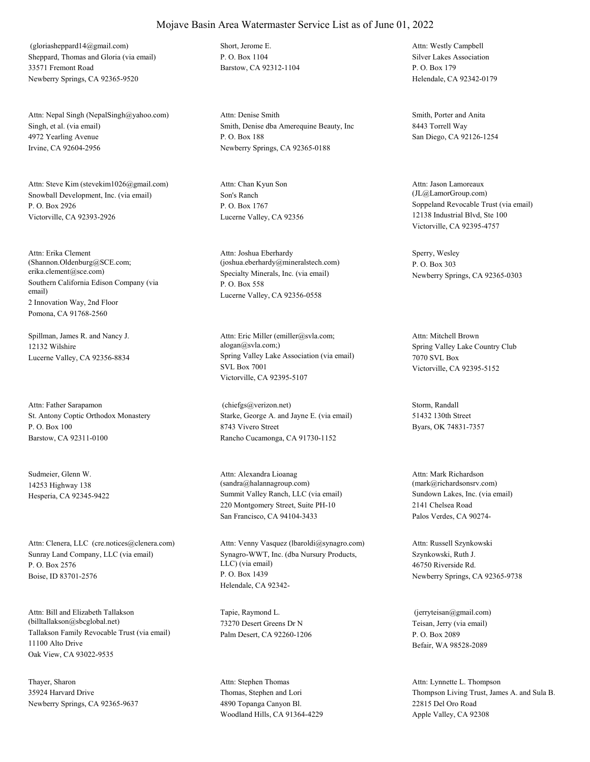Sheppard, Thomas and Gloria (via email) 33571 Fremont Road Newberry Springs, CA 92365-9520 (gloriasheppard14@gmail.com) Short, Jerome E.

Singh, et al. (via email) 4972 Yearling Avenue Irvine, CA 92604-2956 Attn: Nepal Singh (NepalSingh@yahoo.com)

Snowball Development, Inc. (via email) P. O. Box 2926 Victorville, CA 92393-2926 Attn: Steve Kim (stevekim1026@gmail.com)

Southern California Edison Company (via email) 2 Innovation Way, 2nd Floor Pomona, CA 91768-2560 Attn: Erika Clement (Shannon.Oldenburg@SCE.com; erika.clement@sce.com) Specialty Minerals, Inc. (via email)

Spillman, James R. and Nancy J. 12132 Wilshire

St. Antony Coptic Orthodox Monastery P. O. Box 100 Barstow, CA 92311-0100 Attn: Father Sarapamon

Sudmeier, Glenn W. 14253 Highway 138

Sunray Land Company, LLC (via email) P. O. Box 2576 Boise, ID 83701-2576 Attn: Clenera, LLC (cre.notices@clenera.com)

Tallakson Family Revocable Trust (via email) 11100 Alto Drive Oak View, CA 93022-9535 Attn: Bill and Elizabeth Tallakson (billtallakson@sbcglobal.net)

Thayer, Sharon 35924 Harvard Drive Newberry Springs, CA 92365-9637 P. O. Box 1104 Barstow, CA 92312-1104

Smith, Denise dba Amerequine Beauty, Inc P. O. Box 188 Newberry Springs, CA 92365-0188 Attn: Denise Smith Smith, Porter and Anita

Son's Ranch P. O. Box 1767 Lucerne Valley, CA 92356 Attn: Chan Kyun Son

P. O. Box 558 Lucerne Valley, CA 92356-0558 Attn: Joshua Eberhardy (joshua.eberhardy@mineralstech.com)

Lucerne Valley, CA 92356-8834 Spring Valley Lake Association (via email) SVL Box 7001 Victorville, CA 92395-5107 Attn: Eric Miller (emiller@svla.com; alogan@svla.com;) Spring Valley Lake Country Club

> Starke, George A. and Jayne E. (via email) 8743 Vivero Street Rancho Cucamonga, CA 91730-1152 (chiefgs@verizon.net) Storm, Randall

Hesperia, CA 92345-9422 Summit Valley Ranch, LLC (via email) 220 Montgomery Street, Suite PH-10 San Francisco, CA 94104-3433 Attn: Alexandra Lioanag (sandra@halannagroup.com)

> Synagro-WWT, Inc. (dba Nursury Products, LLC) (via email) P. O. Box 1439 Helendale, CA 92342- Attn: Venny Vasquez (lbaroldi@synagro.com)

Tapie, Raymond L. 73270 Desert Greens Dr N Palm Desert, CA 92260-1206

Thomas, Stephen and Lori 4890 Topanga Canyon Bl. Woodland Hills, CA 91364-4229 Attn: Stephen Thomas

Silver Lakes Association P. O. Box 179 Helendale, CA 92342-0179 Attn: Westly Campbell

8443 Torrell Way San Diego, CA 92126-1254

Soppeland Revocable Trust (via email) 12138 Industrial Blvd, Ste 100 Victorville, CA 92395-4757 Attn: Jason Lamoreaux (JL@LamorGroup.com)

Sperry, Wesley P. O. Box 303 Newberry Springs, CA 92365-0303

7070 SVL Box Victorville, CA 92395-5152 Attn: Mitchell Brown

51432 130th Street Byars, OK 74831-7357

Sundown Lakes, Inc. (via email) 2141 Chelsea Road Palos Verdes, CA 90274- Attn: Mark Richardson (mark@richardsonsrv.com)

Szynkowski, Ruth J. 46750 Riverside Rd. Newberry Springs, CA 92365-9738 Attn: Russell Szynkowski

Teisan, Jerry (via email) P. O. Box 2089 Befair, WA 98528-2089 (jerryteisan@gmail.com)

Thompson Living Trust, James A. and Sula B. 22815 Del Oro Road Apple Valley, CA 92308 Attn: Lynnette L. Thompson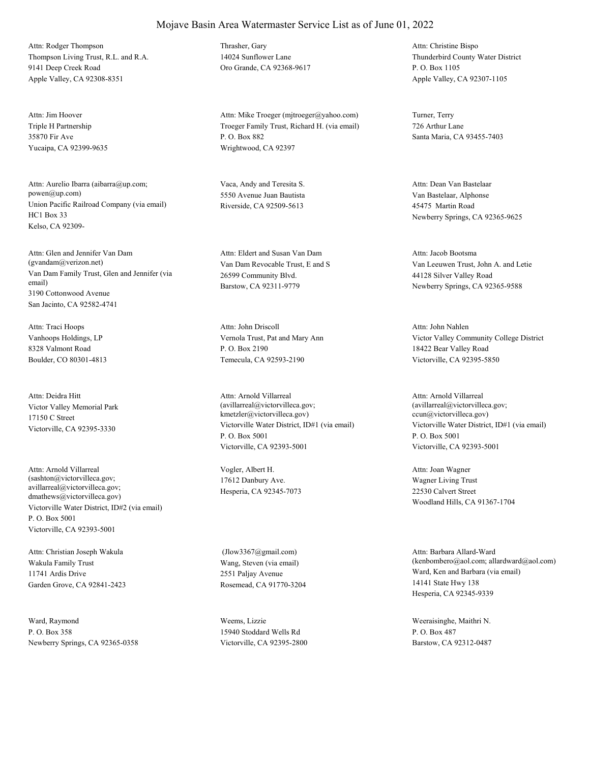Thompson Living Trust, R.L. and R.A. 9141 Deep Creek Road Apple Valley, CA 92308-8351 Attn: Rodger Thompson Thrasher, Gary

Triple H Partnership 35870 Fir Ave Yucaipa, CA 92399-9635 Attn: Jim Hoover

Union Pacific Railroad Company (via email) HC1 Box 33 Kelso, CA 92309- Attn: Aurelio Ibarra (aibarra@up.com; powen@up.com)

Van Dam Family Trust, Glen and Jennifer (via email) 3190 Cottonwood Avenue San Jacinto, CA 92582-4741 Attn: Glen and Jennifer Van Dam (gvandam@verizon.net) Van Dam Revocable Trust, E and S

Vanhoops Holdings, LP 8328 Valmont Road Boulder, CO 80301-4813 Attn: Traci Hoops

Victor Valley Memorial Park 17150 C Street Victorville, CA 92395-3330 Attn: Deidra Hitt

Victorville Water District, ID#2 (via email) P. O. Box 5001 Victorville, CA 92393-5001 Attn: Arnold Villarreal (sashton@victorvilleca.gov; avillarreal@victorvilleca.gov; dmathews@victorvilleca.gov)

Wakula Family Trust 11741 Ardis Drive Garden Grove, CA 92841-2423 Attn: Christian Joseph Wakula

Ward, Raymond P. O. Box 358 Newberry Springs, CA 92365-0358 14024 Sunflower Lane Oro Grande, CA 92368-9617

Troeger Family Trust, Richard H. (via email) P. O. Box 882 Wrightwood, CA 92397 Attn: Mike Troeger (mjtroeger@yahoo.com) Turner, Terry

Vaca, Andy and Teresita S. 5550 Avenue Juan Bautista Riverside, CA 92509-5613

26599 Community Blvd. Barstow, CA 92311-9779 Attn: Eldert and Susan Van Dam

Vernola Trust, Pat and Mary Ann P. O. Box 2190 Temecula, CA 92593-2190 Attn: John Driscoll

Victorville Water District, ID#1 (via email) P. O. Box 5001 Victorville, CA 92393-5001 Attn: Arnold Villarreal (avillarreal@victorvilleca.gov; kmetzler@victorvilleca.gov)

Vogler, Albert H. 17612 Danbury Ave. Hesperia, CA 92345-7073

Wang, Steven (via email) 2551 Paljay Avenue Rosemead, CA 91770-3204 (Jlow3367@gmail.com)

Weems, Lizzie 15940 Stoddard Wells Rd Victorville, CA 92395-2800 Thunderbird County Water District P. O. Box 1105 Apple Valley, CA 92307-1105 Attn: Christine Bispo

726 Arthur Lane Santa Maria, CA 93455-7403

Van Bastelaar, Alphonse 45475 Martin Road Newberry Springs, CA 92365-9625 Attn: Dean Van Bastelaar

Van Leeuwen Trust, John A. and Letie 44128 Silver Valley Road Newberry Springs, CA 92365-9588 Attn: Jacob Bootsma

Victor Valley Community College District 18422 Bear Valley Road Victorville, CA 92395-5850 Attn: John Nahlen

Victorville Water District, ID#1 (via email) P. O. Box 5001 Victorville, CA 92393-5001 Attn: Arnold Villarreal (avillarreal@victorvilleca.gov; ccun@victorvilleca.gov)

Wagner Living Trust 22530 Calvert Street Woodland Hills, CA 91367-1704 Attn: Joan Wagner

Ward, Ken and Barbara (via email) 14141 State Hwy 138 Hesperia, CA 92345-9339 Attn: Barbara Allard-Ward (kenbombero@aol.com; allardward@aol.com)

Weeraisinghe, Maithri N. P. O. Box 487 Barstow, CA 92312-0487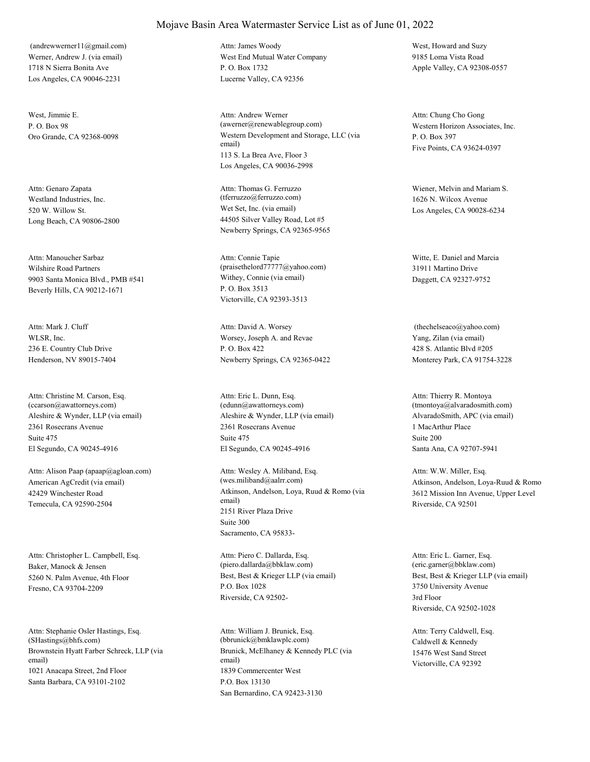Werner, Andrew J. (via email) 1718 N Sierra Bonita Ave Los Angeles, CA 90046-2231 (andrewwerner11@gmail.com)

West, Jimmie E.  $P$ . O. Box 98

Westland Industries, Inc. 520 W. Willow St. Long Beach, CA 90806-2800 Attn: Genaro Zapata

Wilshire Road Partners 9903 Santa Monica Blvd., PMB #541 Beverly Hills, CA 90212-1671 Attn: Manoucher Sarbaz

WLSR, Inc. 236 E. Country Club Drive Henderson, NV 89015-7404 Attn: Mark J. Cluff

Aleshire & Wynder, LLP (via email) 2361 Rosecrans Avenue El Segundo, CA 90245-4916 Attn: Christine M. Carson, Esq. (ccarson@awattorneys.com) Suite 475

American AgCredit (via email) 42429 Winchester Road Temecula, CA 92590-2504 Attn: Alison Paap (apaap@agloan.com)

Baker, Manock & Jensen 5260 N. Palm Avenue, 4th Floor Fresno, CA 93704-2209 Attn: Christopher L. Campbell, Esq.

Brownstein Hyatt Farber Schreck, LLP (via email) 1021 Anacapa Street, 2nd Floor Santa Barbara, CA 93101-2102 Attn: Stephanie Osler Hastings, Esq. (SHastings@bhfs.com)

#### Mojave Basin Area Watermaster Service List as of June 01, 2022

West End Mutual Water Company P. O. Box 1732 Lucerne Valley, CA 92356 Attn: James Woody West, Howard and Suzy

Oro Grande, CA 92368-0098 Western Development and Storage, LLC (via email) 113 S. La Brea Ave, Floor 3 Los Angeles, CA 90036-2998 Attn: Andrew Werner (awerner@renewablegroup.com) Western Horizon Associates, Inc.

> Wet Set, Inc. (via email) 44505 Silver Valley Road, Lot #5 Newberry Springs, CA 92365-9565 Attn: Thomas G. Ferruzzo (tferruzzo@ferruzzo.com)

Withey, Connie (via email) P. O. Box 3513 Victorville, CA 92393-3513 Attn: Connie Tapie (praisethelord77777@yahoo.com)

Worsey, Joseph A. and Revae P. O. Box 422 Newberry Springs, CA 92365-0422 Attn: David A. Worsey

Aleshire & Wynder, LLP (via email) 2361 Rosecrans Avenue El Segundo, CA 90245-4916 Attn: Eric L. Dunn, Esq. (edunn@awattorneys.com) Suite 475

Atkinson, Andelson, Loya, Ruud & Romo (via email) 2151 River Plaza Drive Sacramento, CA 95833- Attn: Wesley A. Miliband, Esq. (wes.miliband@aalrr.com) Suite 300

Best, Best & Krieger LLP (via email) P.O. Box 1028 Riverside, CA 92502- Attn: Piero C. Dallarda, Esq. (piero.dallarda@bbklaw.com)

Brunick, McElhaney & Kennedy PLC (via email) 1839 Commercenter West San Bernardino, CA 92423-3130 Attn: William J. Brunick, Esq. (bbrunick@bmklawplc.com) P.O. Box 13130

9185 Loma Vista Road Apple Valley, CA 92308-0557

P. O. Box 397 Five Points, CA 93624-0397 Attn: Chung Cho Gong

Wiener, Melvin and Mariam S. 1626 N. Wilcox Avenue Los Angeles, CA 90028-6234

Witte, E. Daniel and Marcia 31911 Martino Drive Daggett, CA 92327-9752

Yang, Zilan (via email) 428 S. Atlantic Blvd #205 Monterey Park, CA 91754-3228 (thechelseaco@yahoo.com)

AlvaradoSmith, APC (via email) 1 MacArthur Place Santa Ana, CA 92707-5941 Attn: Thierry R. Montoya (tmontoya@alvaradosmith.com) Suite 200

Atkinson, Andelson, Loya-Ruud & Romo 3612 Mission Inn Avenue, Upper Level Riverside, CA 92501 Attn: W.W. Miller, Esq.

Best, Best & Krieger LLP (via email) 3750 University Avenue Riverside, CA 92502-1028 Attn: Eric L. Garner, Esq. (eric.garner@bbklaw.com) 3rd Floor

Caldwell & Kennedy 15476 West Sand Street Victorville, CA 92392 Attn: Terry Caldwell, Esq.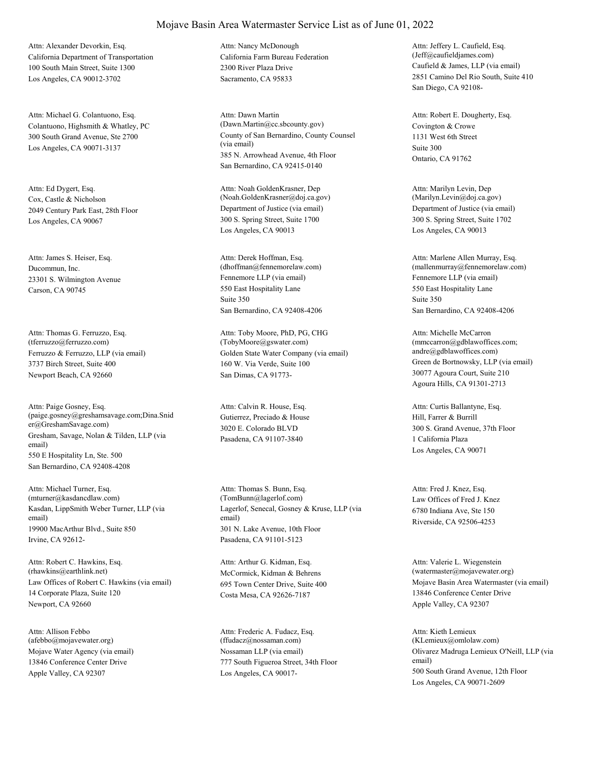California Department of Transportation 100 South Main Street, Suite 1300 Los Angeles, CA 90012-3702 Attn: Alexander Devorkin, Esq.

Colantuono, Highsmith & Whatley, PC 300 South Grand Avenue, Ste 2700 Los Angeles, CA 90071-3137 Attn: Michael G. Colantuono, Esq.

Cox, Castle & Nicholson 2049 Century Park East, 28th Floor Los Angeles, CA 90067 Attn: Ed Dygert, Esq.

Ducommun, Inc. 23301 S. Wilmington Avenue Carson, CA 90745 Attn: James S. Heiser, Esq.

Ferruzzo & Ferruzzo, LLP (via email) 3737 Birch Street, Suite 400 Newport Beach, CA 92660 Attn: Thomas G. Ferruzzo, Esq. (tferruzzo@ferruzzo.com)

Gresham, Savage, Nolan & Tilden, LLP (via email) 550 E Hospitality Ln, Ste. 500 San Bernardino, CA 92408-4208 Attn: Paige Gosney, Esq. (paige.gosney@greshamsavage.com;Dina.Snid er@GreshamSavage.com)

Kasdan, LippSmith Weber Turner, LLP (via email) 19900 MacArthur Blvd., Suite 850 Irvine, CA 92612- Attn: Michael Turner, Esq. (mturner@kasdancdlaw.com)

Law Offices of Robert C. Hawkins (via email) 14 Corporate Plaza, Suite 120 Newport, CA 92660 Attn: Robert C. Hawkins, Esq. (rhawkins@earthlink.net) McCormick, Kidman & Behrens

Mojave Water Agency (via email) 13846 Conference Center Drive Apple Valley, CA 92307 Attn: Allison Febbo (afebbo@mojavewater.org)

California Farm Bureau Federation 2300 River Plaza Drive Sacramento, CA 95833 Attn: Nancy McDonough

County of San Bernardino, County Counsel (via email) 385 N. Arrowhead Avenue, 4th Floor San Bernardino, CA 92415-0140 Attn: Dawn Martin (Dawn.Martin@cc.sbcounty.gov) Covington & Crowe

Department of Justice (via email) 300 S. Spring Street, Suite 1700 Los Angeles, CA 90013 Attn: Noah GoldenKrasner, Dep (Noah.GoldenKrasner@doj.ca.gov)

Fennemore LLP (via email) 550 East Hospitality Lane San Bernardino, CA 92408-4206 Attn: Derek Hoffman, Esq. (dhoffman@fennemorelaw.com) Suite 350

Golden State Water Company (via email) 160 W. Via Verde, Suite 100 San Dimas, CA 91773- Attn: Toby Moore, PhD, PG, CHG (TobyMoore@gswater.com)

Gutierrez, Preciado & House 3020 E. Colorado BLVD Pasadena, CA 91107-3840 Attn: Calvin R. House, Esq.

Lagerlof, Senecal, Gosney & Kruse, LLP (via email) 301 N. Lake Avenue, 10th Floor Pasadena, CA 91101-5123 Attn: Thomas S. Bunn, Esq. (TomBunn@lagerlof.com) Law Offices of Fred J. Knez

695 Town Center Drive, Suite 400 Costa Mesa, CA 92626-7187 Attn: Arthur G. Kidman, Esq.

Nossaman LLP (via email) 777 South Figueroa Street, 34th Floor Los Angeles, CA 90017- Attn: Frederic A. Fudacz, Esq. (ffudacz@nossaman.com)

Caufield & James, LLP (via email) 2851 Camino Del Rio South, Suite 410 San Diego, CA 92108- Attn: Jeffery L. Caufield, Esq. (Jeff@caufieldjames.com)

1131 West 6th Street Ontario, CA 91762 Attn: Robert E. Dougherty, Esq. Suite 300

Department of Justice (via email) 300 S. Spring Street, Suite 1702 Los Angeles, CA 90013 Attn: Marilyn Levin, Dep (Marilyn.Levin@doj.ca.gov)

Fennemore LLP (via email) 550 East Hospitality Lane San Bernardino, CA 92408-4206 Attn: Marlene Allen Murray, Esq. (mallenmurray@fennemorelaw.com) Suite 350

Green de Bortnowsky, LLP (via email) 30077 Agoura Court, Suite 210 Agoura Hills, CA 91301-2713 Attn: Michelle McCarron (mmccarron@gdblawoffices.com; andre@gdblawoffices.com)

Hill, Farrer & Burrill 300 S. Grand Avenue, 37th Floor Los Angeles, CA 90071 Attn: Curtis Ballantyne, Esq. 1 California Plaza

6780 Indiana Ave, Ste 150 Riverside, CA 92506-4253 Attn: Fred J. Knez, Esq.

Mojave Basin Area Watermaster (via email) 13846 Conference Center Drive Apple Valley, CA 92307 Attn: Valerie L. Wiegenstein (watermaster@mojavewater.org)

Olivarez Madruga Lemieux O'Neill, LLP (via email) 500 South Grand Avenue, 12th Floor Los Angeles, CA 90071-2609 Attn: Kieth Lemieux (KLemieux@omlolaw.com)